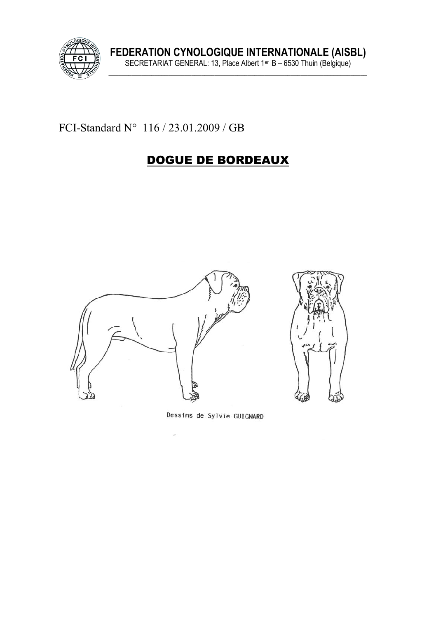

FCI-Standard  $N^{\circ}$  116 / 23.01.2009 / GB

# DOGUE DE BORDEAUX



Dessins de Sylvie GUIGNARD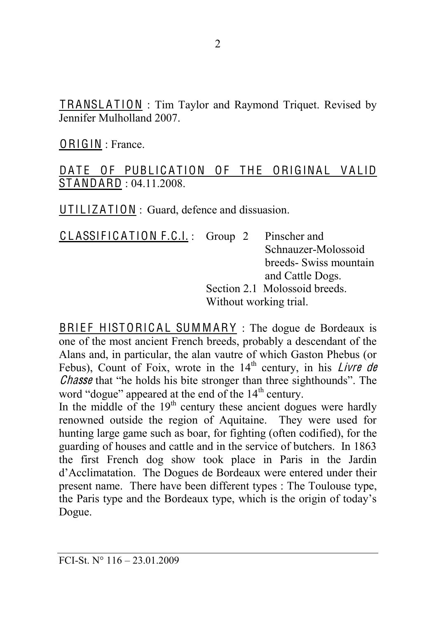TRANSLATION : Tim Taylor and Raymond Triquet. Revised by Jennifer Mulholland 2007.

ORIGIN : France.

### DATE OF PUBLICATION OF THE ORIGINAL VALID ST ANDARD : 04.11.2008.

 $UTILLIZATION: Guard, define each discussion.$ 

CLASSIFICATION F.C.I.: Group 2 Pinscher and Schnauzer-Molossoid breeds- Swiss mountain and Cattle Dogs. Section 2.1 Molossoid breeds. Without working trial.

BRIEF HISTORICAL SUMMARY : The dogue de Bordeaux is one of the most ancient French breeds, probably a descendant of the Alans and, in particular, the alan vautre of which Gaston Phebus (or Febus), Count of Foix, wrote in the  $14<sup>th</sup>$  century, in his *Livre de* Chasse that "he holds his bite stronger than three sighthounds". The word "dogue" appeared at the end of the  $14<sup>th</sup>$  century.

In the middle of the  $19<sup>th</sup>$  century these ancient dogues were hardly renowned outside the region of Aquitaine. They were used for hunting large game such as boar, for fighting (often codified), for the guarding of houses and cattle and in the service of butchers. In 1863 the first French dog show took place in Paris in the Jardin d'Acclimatation. The Dogues de Bordeaux were entered under their present name. There have been different types : The Toulouse type, the Paris type and the Bordeaux type, which is the origin of today's Dogue.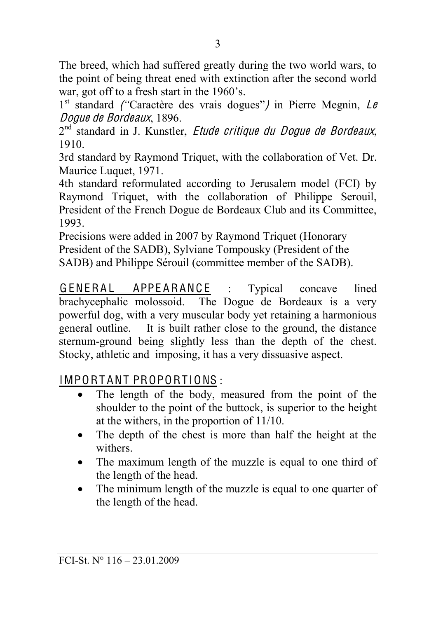The breed, which had suffered greatly during the two world wars, to the point of being threat ened with extinction after the second world war, got off to a fresh start in the  $1960$ 's.

1<sup>st</sup> standard *("Caractère des vrais dogues")* in Pierre Megnin, Le Dogu<sup>e</sup> d<sup>e</sup> Bordeaux, 1896.

 $2<sup>nd</sup>$  standard in J. Kunstler, *Etude critique du Doque de Bordeaux*, 1910.

3rd standard by Raymond Triquet, with the collaboration of Vet. Dr. Maurice Luquet, 1971.

4th standard reformulated according to Jerusalem model (FCI) by Raymond Triquet, with the collaboration of Philippe Serouil, President of the French Dogue de Bordeaux Club and its Committee, 1993.

Precisions were added in 2007 by Raymond Triquet (Honorary President of the SADB), Sylviane Tompousky (President of the SADB) and Philippe Sérouil (committee member of the SADB).

GENERAL APPEARANCE : Typical concave lined brachycephalic molossoid. The Dogue de Bordeaux is a very powerful dog, with a very muscular body yet retaining a harmonious general outline. It is built rather close to the ground, the distance sternum-ground being slightly less than the depth of the chest. Stocky, athletic and imposing, it has a very dissuasive aspect.

# IMPORTANT PROPORTIONS:

- The length of the body, measured from the point of the shoulder to the point of the buttock, is superior to the height at the withers, in the proportion of 11/10.
- The depth of the chest is more than half the height at the withers.
- The maximum length of the muzzle is equal to one third of the length of the head.
- The minimum length of the muzzle is equal to one quarter of the length of the head.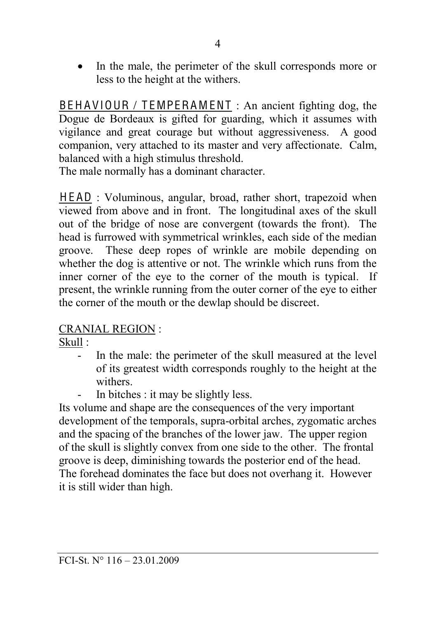• In the male, the perimeter of the skull corresponds more or less to the height at the withers.

BEHAVIOUR / TEMPERAMENT : An ancient fighting dog, the Dogue de Bordeaux is gifted for guarding, which it assumes with vigilance and great courage but without aggressiveness. A good companion, very attached to its master and very affectionate. Calm, balanced with a high stimulus threshold.

The male normally has a dominant character.

HEAD : Voluminous, angular, broad, rather short, trapezoid when viewed from above and in front. The longitudinal axes of the skull out of the bridge of nose are convergent (towards the front). The head is furrowed with symmetrical wrinkles, each side of the median groove. These deep ropes of wrinkle are mobile depending on whether the dog is attentive or not. The wrinkle which runs from the inner corner of the eye to the corner of the mouth is typical. If present, the wrinkle running from the outer corner of the eye to either the corner of the mouth or the dewlap should be discreet.

### CRANIAL REGION :

Skull :

- In the male: the perimeter of the skull measured at the level of its greatest width corresponds roughly to the height at the withers.
- In bitches : it may be slightly less.

Its volume and shape are the consequences of the very important development of the temporals, supra-orbital arches, zygomatic arches and the spacing of the branches of the lower jaw. The upper region of the skull is slightly convex from one side to the other. The frontal groove is deep, diminishing towards the posterior end of the head. The forehead dominates the face but does not overhang it. However it is still wider than high.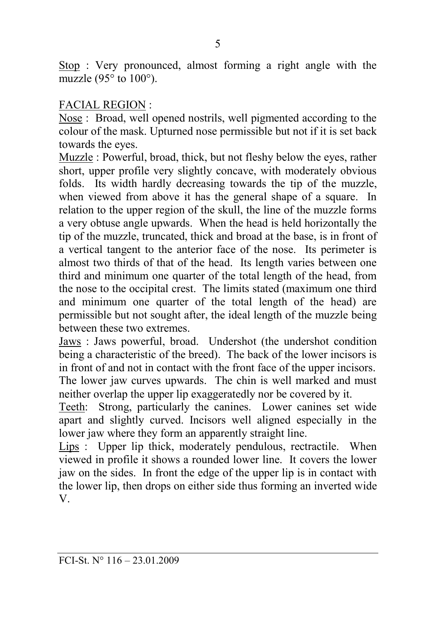Stop : Very pronounced, almost forming a right angle with the muzzle (95 $\degree$  to 100 $\degree$ ).

#### FACIAL REGION :

Nose : Broad, well opened nostrils, well pigmented according to the colour of the mask. Upturned nose permissible but not if it is set back towards the eyes.

Muzzle : Powerful, broad, thick, but not fleshy below the eyes, rather short, upper profile very slightly concave, with moderately obvious folds. Its width hardly decreasing towards the tip of the muzzle, when viewed from above it has the general shape of a square. In relation to the upper region of the skull, the line of the muzzle forms a very obtuse angle upwards. When the head is held horizontally the tip of the muzzle, truncated, thick and broad at the base, is in front of a vertical tangent to the anterior face of the nose. Its perimeter is almost two thirds of that of the head. Its length varies between one third and minimum one quarter of the total length of the head, from the nose to the occipital crest. The limits stated (maximum one third and minimum one quarter of the total length of the head) are permissible but not sought after, the ideal length of the muzzle being between these two extremes.

Jaws : Jaws powerful, broad. Undershot (the undershot condition being a characteristic of the breed). The back of the lower incisors is in front of and not in contact with the front face of the upper incisors. The lower jaw curves upwards. The chin is well marked and must neither overlap the upper lip exaggeratedly nor be covered by it.

Teeth: Strong, particularly the canines. Lower canines set wide apart and slightly curved. Incisors well aligned especially in the lower jaw where they form an apparently straight line.

Lips : Upper lip thick, moderately pendulous, rectractile. When viewed in profile it shows a rounded lower line. It covers the lower jaw on the sides. In front the edge of the upper lip is in contact with the lower lip, then drops on either side thus forming an inverted wide V.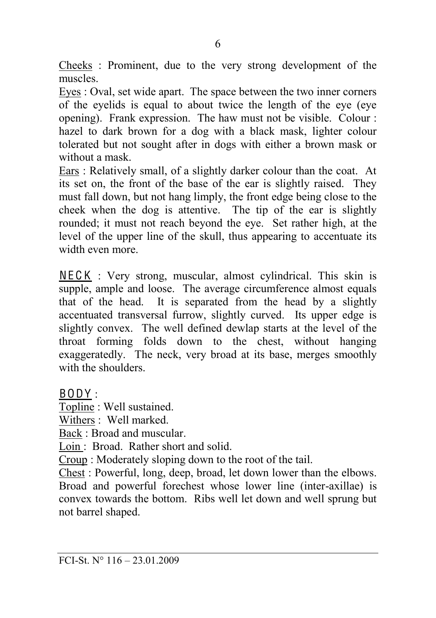Cheeks : Prominent, due to the very strong development of the muscles.

Eyes : Oval, set wide apart. The space between the two inner corners of the eyelids is equal to about twice the length of the eye (eye opening). Frank expression. The haw must not be visible. Colour : hazel to dark brown for a dog with a black mask, lighter colour tolerated but not sought after in dogs with either a brown mask or without a mask

Ears : Relatively small, of a slightly darker colour than the coat. At its set on, the front of the base of the ear is slightly raised. They must fall down, but not hang limply, the front edge being close to the cheek when the dog is attentive. The tip of the ear is slightly rounded; it must not reach beyond the eye. Set rather high, at the level of the upper line of the skull, thus appearing to accentuate its width even more.

 $NECK$ : Very strong, muscular, almost cylindrical. This skin is supple, ample and loose. The average circumference almost equals that of the head. It is separated from the head by a slightly accentuated transversal furrow, slightly curved. Its upper edge is slightly convex. The well defined dewlap starts at the level of the throat forming folds down to the chest, without hanging exaggeratedly. The neck, very broad at its base, merges smoothly with the shoulders.

BODY :

Topline : Well sustained.

Withers : Well marked.

Back : Broad and muscular.

Loin : Broad. Rather short and solid.

Croup : Moderately sloping down to the root of the tail.

Chest : Powerful, long, deep, broad, let down lower than the elbows. Broad and powerful forechest whose lower line (inter-axillae) is convex towards the bottom. Ribs well let down and well sprung but not barrel shaped.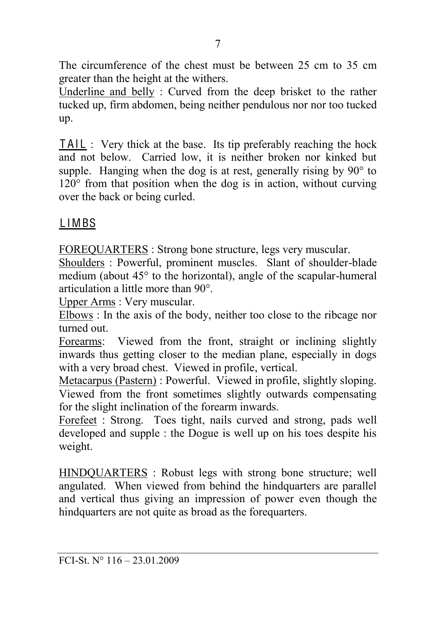The circumference of the chest must be between 25 cm to 35 cm greater than the height at the withers.

Underline and belly : Curved from the deep brisket to the rather tucked up, firm abdomen, being neither pendulous nor nor too tucked up.

TAIL : Very thick at the base. Its tip preferably reaching the hock and not below. Carried low, it is neither broken nor kinked but supple. Hanging when the dog is at rest, generally rising by  $90^\circ$  to  $120^{\circ}$  from that position when the dog is in action, without curving over the back or being curled.

### L IMBS

FOREQUARTERS : Strong bone structure, legs very muscular.

Shoulders : Powerful, prominent muscles. Slant of shoulder-blade medium (about  $45^{\circ}$  to the horizontal), angle of the scapular-humeral articulation a little more than  $90^\circ$ .

Upper Arms : Very muscular.

Elbows : In the axis of the body, neither too close to the ribcage nor turned out.

Forearms: Viewed from the front, straight or inclining slightly inwards thus getting closer to the median plane, especially in dogs with a very broad chest. Viewed in profile, vertical.

Metacarpus (Pastern) : Powerful. Viewed in profile, slightly sloping. Viewed from the front sometimes slightly outwards compensating for the slight inclination of the forearm inwards.

Forefeet : Strong. Toes tight, nails curved and strong, pads well developed and supple : the Dogue is well up on his toes despite his weight.

HINDQUARTERS : Robust legs with strong bone structure; well angulated. When viewed from behind the hindquarters are parallel and vertical thus giving an impression of power even though the hindquarters are not quite as broad as the forequarters.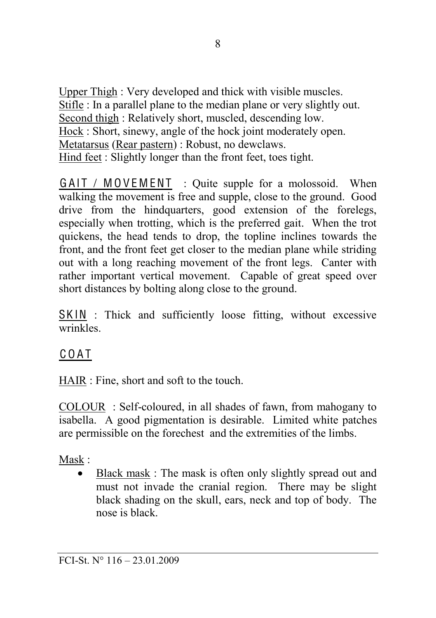Upper Thigh : Very developed and thick with visible muscles. Stifle : In a parallel plane to the median plane or very slightly out. Second thigh : Relatively short, muscled, descending low. Hock : Short, sinewy, angle of the hock joint moderately open. Metatarsus (Rear pastern) : Robust, no dewclaws. Hind feet : Slightly longer than the front feet, toes tight.

 $GAIT / MOVEMENT$ : Quite supple for a molossoid. When walking the movement is free and supple, close to the ground. Good drive from the hindquarters, good extension of the forelegs, especially when trotting, which is the preferred gait. When the trot quickens, the head tends to drop, the topline inclines towards the front, and the front feet get closer to the median plane while striding out with a long reaching movement of the front legs. Canter with rather important vertical movement. Capable of great speed over short distances by bolting along close to the ground.

SKIN : Thick and sufficiently loose fitting, without excessive wrinkles.

# C O A T

HAIR : Fine, short and soft to the touch.

COLOUR : Self-coloured, in all shades of fawn, from mahogany to isabella. A good pigmentation is desirable. Limited white patches are permissible on the forechest and the extremities of the limbs.

Mask :

Black mask : The mask is often only slightly spread out and must not invade the cranial region. There may be slight black shading on the skull, ears, neck and top of body. The nose is black.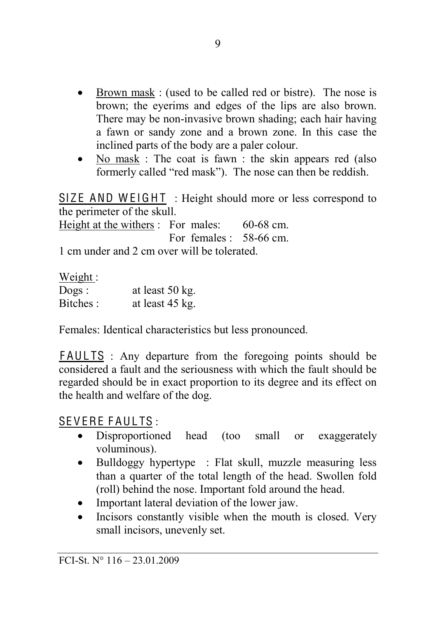- $\bullet$  Brown mask : (used to be called red or bistre). The nose is brown; the eyerims and edges of the lips are also brown. There may be non-invasive brown shading; each hair having a fawn or sandy zone and a brown zone. In this case the inclined parts of the body are a paler colour.
- No mask : The coat is fawn : the skin appears red (also formerly called "red mask"). The nose can then be reddish.

SIZE AND WEIGHT : Height should more or less correspond to the perimeter of the skull.

Height at the withers : For males: 60-68 cm. For females  $\cdot$  58-66 cm.

1 cm under and 2 cm over will be tolerated.

Weight ·

| $\log s$ : | at least 50 kg. |
|------------|-----------------|
| Bitches:   | at least 45 kg. |

Females: Identical characteristics but less pronounced.

FAULTS : Any departure from the foregoing points should be considered a fault and the seriousness with which the fault should be regarded should be in exact proportion to its degree and its effect on the health and welfare of the dog.

SEVERE FAULTS :

- Disproportioned head (too small or exaggerately voluminous).
- Bulldoggy hypertype : Flat skull, muzzle measuring less than a quarter of the total length of the head. Swollen fold (roll) behind the nose. Important fold around the head.
- Important lateral deviation of the lower jaw.
- $\bullet$  Incisors constantly visible when the mouth is closed. Very small incisors, unevenly set.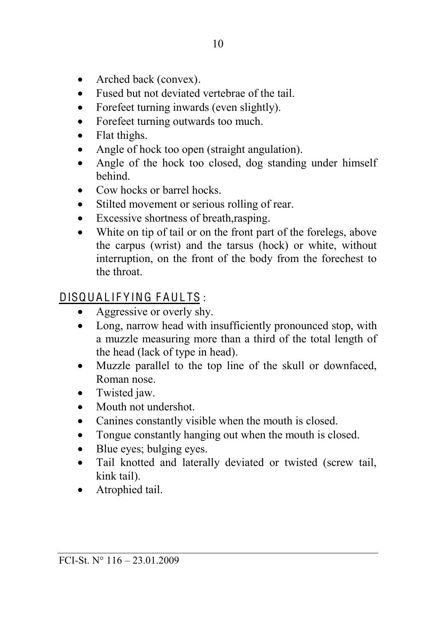- $\bullet$  Arched back (convex).
- Fused but not deviated vertebrae of the tail.
- Forefeet turning inwards (even slightly).
- Forefeet turning outwards too much.
- $\bullet$  Flat thighs.
- Angle of hock too open (straight angulation).
- Angle of the hock too closed, dog standing under himself behind.
- Cow hocks or barrel hocks.
- Stilted movement or serious rolling of rear.
- Excessive shortness of breath, rasping.
- White on tip of tail or on the front part of the forelegs, above the carpus (wrist) and the tarsus (hock) or white, without interruption, on the front of the body from the forechest to the throat.

# DISQUALIFYING FAULTS:

- $\bullet$  Aggressive or overly shy.
- Long, narrow head with insufficiently pronounced stop, with a muzzle measuring more than a third of the total length of the head (lack of type in head).
- Muzzle parallel to the top line of the skull or downfaced, Roman nose.
- $\bullet$  Twisted jaw.
- Mouth not undershot.
- Canines constantly visible when the mouth is closed.
- Tongue constantly hanging out when the mouth is closed.
- $\bullet$  Blue eyes; bulging eyes.
- Tail knotted and laterally deviated or twisted (screw tail, kink tail).
- Atrophied tail.